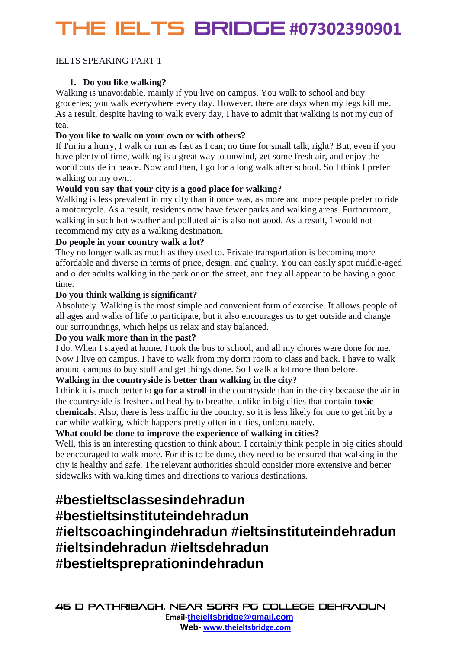# THE IELTS Bridge **#07302390901**

#### IELTS SPEAKING PART 1

#### **1. Do you like walking?**

Walking is unavoidable, mainly if you live on campus. You walk to school and buy groceries; you walk everywhere every day. However, there are days when my legs kill me. As a result, despite having to walk every day, I have to admit that walking is not my cup of tea.

#### **Do you like to walk on your own or with others?**

If I'm in a hurry, I walk or run as fast as I can; no time for small talk, right? But, even if you have plenty of time, walking is a great way to unwind, get some fresh air, and enjoy the world outside in peace. Now and then, I go for a long walk after school. So I think I prefer walking on my own.

#### **Would you say that your city is a good place for walking?**

Walking is less prevalent in my city than it once was, as more and more people prefer to ride a motorcycle. As a result, residents now have fewer parks and walking areas. Furthermore, walking in such hot weather and polluted air is also not good. As a result, I would not recommend my city as a walking destination.

#### **Do people in your country walk a lot?**

They no longer walk as much as they used to. Private transportation is becoming more affordable and diverse in terms of price, design, and quality. You can easily spot middle-aged and older adults walking in the park or on the street, and they all appear to be having a good time.

#### **Do you think walking is significant?**

Absolutely. Walking is the most simple and convenient form of exercise. It allows people of all ages and walks of life to participate, but it also encourages us to get outside and change our surroundings, which helps us relax and stay balanced.

#### **Do you walk more than in the past?**

I do. When I stayed at home, I took the bus to school, and all my chores were done for me. Now I live on campus. I have to walk from my dorm room to class and back. I have to walk around campus to buy stuff and get things done. So I walk a lot more than before.

#### **Walking in the countryside is better than walking in the city?**

I think it is much better to **go for a stroll** in the countryside than in the city because the air in the countryside is fresher and healthy to breathe, unlike in big cities that contain **toxic chemicals**. Also, there is less traffic in the country, so it is less likely for one to get hit by a car while walking, which happens pretty often in cities, unfortunately.

#### **What could be done to improve the experience of walking in cities?**

Well, this is an interesting question to think about. I certainly think people in big cities should be encouraged to walk more. For this to be done, they need to be ensured that walking in the city is healthy and safe. The relevant authorities should consider more extensive and better sidewalks with walking times and directions to various destinations.

## **#bestieltsclassesindehradun**

### **#bestieltsinstituteindehradun**

**#ieltscoachingindehradun #ieltsinstituteindehradun #ieltsindehradun #ieltsdehradun #bestieltspreprationindehradun**